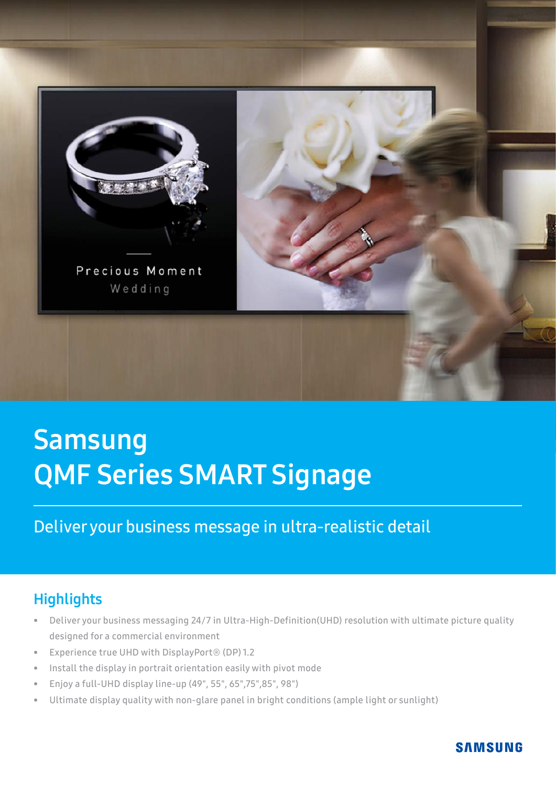

# **Samsung** QMF Series SMART Signage

# Deliver your business message in ultra-realistic detail

## **Highlights**

- Deliver your business messaging 24/7 in Ultra-High-Definition(UHD) resolution with ultimate picture quality designed for a commercial environment
- Experience true UHD with DisplayPort® (DP) 1.2
- Install the display in portrait orientation easily with pivot mode
- Enjoy a full-UHD display line-up (49", 55", 65",75",85", 98")
- Ultimate display quality with non-glare panel in bright conditions (ample light or sunlight)

#### **SAMSUNG**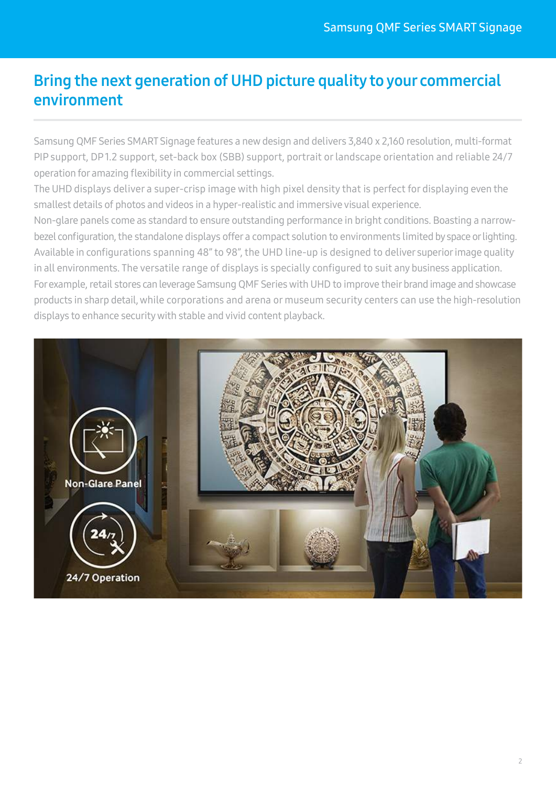## Bring the next generation of UHD picture quality to your commercial environment

Samsung QMF Series SMART Signage features a new design and delivers 3,840 x 2,160 resolution, multi-format PIP support, DP 1.2 support, set-back box (SBB) support, portrait or landscape orientation and reliable 24/7 operation for amazing flexibility in commercial settings.

The UHD displays deliver a super-crisp image with high pixel density that is perfect for displaying even the smallest details of photos and videos in a hyper-realistic and immersive visual experience.

Non-glare panels come as standard to ensure outstanding performance in bright conditions. Boasting a narrowbezel configuration, the standalone displays offer a compact solution to environments limited by space or lighting. Available in configurations spanning 48" to 98", the UHD line-up is designed to deliver superior image quality in all environments. The versatile range of displays is specially configured to suit any business application. For example, retail stores can leverage Samsung QMF Series with UHD to improve their brand image and showcase products in sharp detail, while corporations and arena or museum security centers can use the high-resolution displays to enhance security with stable and vivid content playback.

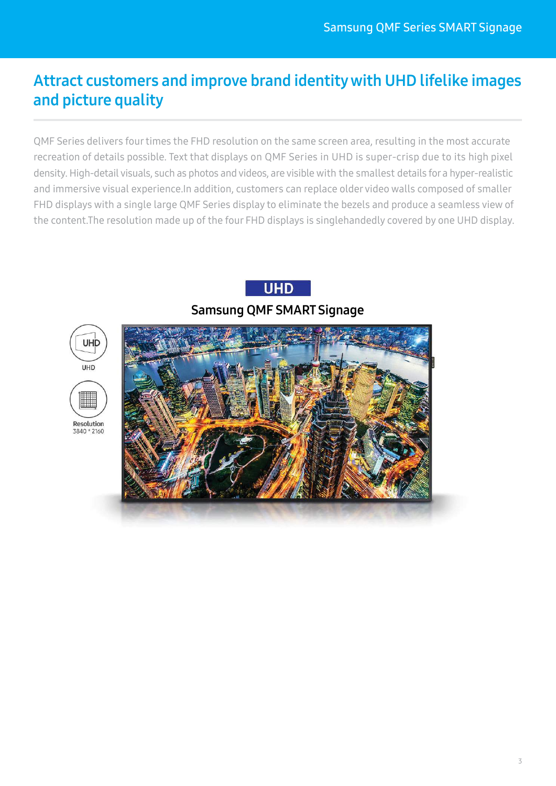# Attract customers and improve brand identity with UHD lifelike images and picture quality

QMF Series delivers four times the FHD resolution on the same screen area, resulting in the most accurate recreation of details possible. Text that displays on QMF Series in UHD is super-crisp due to its high pixel density. High-detail visuals, such as photos and videos, are visible with the smallest details for a hyper-realistic and immersive visual experience.In addition, customers can replace older video walls composed of smaller FHD displays with a single large QMF Series display to eliminate the bezels and produce a seamless view of the content.The resolution made up of the four FHD displays is singlehandedly covered by one UHD display.



▓

Resolution 3840 \* 2160

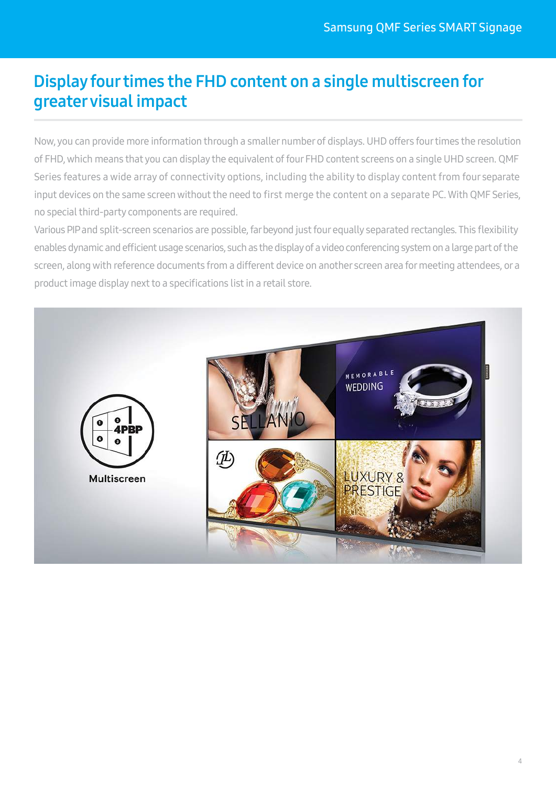# Display four times the FHD content on a single multiscreen for greater visual impact

Now, you can provide more information through a smaller number of displays. UHD offers four times the resolution of FHD, which means that you can display the equivalent of four FHD content screens on a single UHD screen. QMF Series features a wide array of connectivity options, including the ability to display content from four separate input devices on the same screen without the need to first merge the content on a separate PC. With QMF Series, no special third-party components are required.

Various PIP and split-screen scenarios are possible, far beyond just four equally separated rectangles. This flexibility enables dynamic and efficient usage scenarios, such as the display of a video conferencing system on a large part of the screen, along with reference documents from a different device on another screen area for meeting attendees, or a product image display next to a specifications list in a retail store.

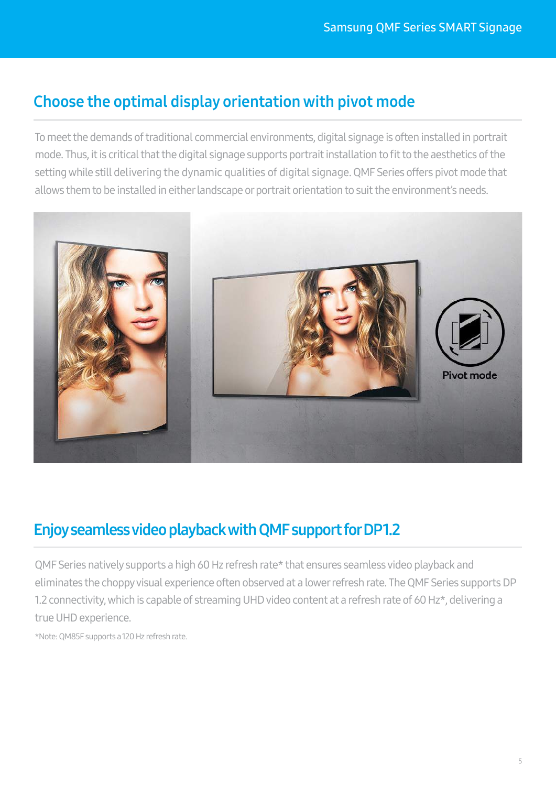## Choose the optimal display orientation with pivot mode

To meet the demands of traditional commercial environments, digital signage is often installed in portrait mode. Thus, it is critical that the digital signage supports portrait installation to fit to the aesthetics of the setting while still delivering the dynamic qualities of digital signage. QMF Series offers pivot mode that allows them to be installed in either landscape or portrait orientation to suit the environment's needs.



# Enjoy seamless video playback with QMF support for DP 1.2

QMF Series natively supports a high 60 Hz refresh rate\* that ensures seamless video playback and eliminates the choppy visual experience often observed at a lower refresh rate. The QMF Series supports DP 1.2 connectivity, which is capable of streaming UHD video content at a refresh rate of 60 Hz\*, delivering a true UHD experience.

\*Note: QM85F supports a 120 Hz refresh rate.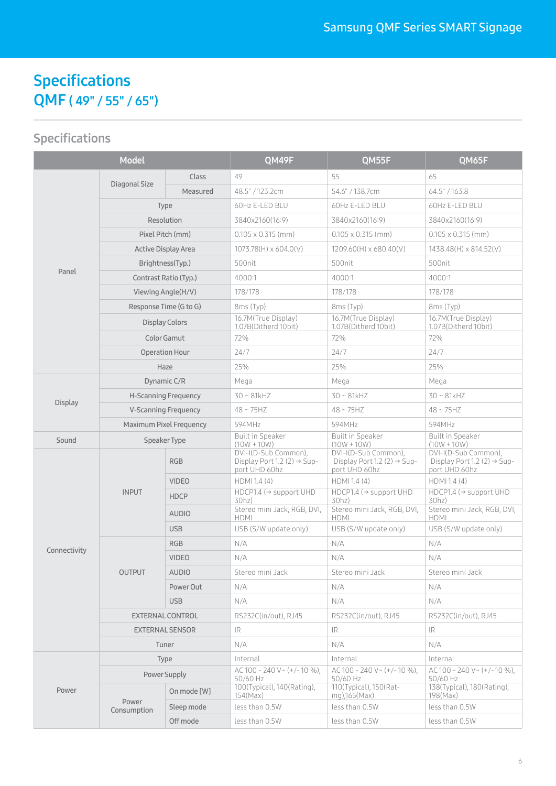# Specifications QMF ( 49" / 55" / 65")

| <b>Model</b>   |                             |              | QM49F                                                                            | QM55F                                                                            | QM65F                                                                            |
|----------------|-----------------------------|--------------|----------------------------------------------------------------------------------|----------------------------------------------------------------------------------|----------------------------------------------------------------------------------|
| Panel          | Diagonal Size               | <b>Class</b> | 49                                                                               | 55                                                                               | 65                                                                               |
|                |                             | Measured     | 48.5" / 123.2cm                                                                  | 54.6" / 138.7cm                                                                  | 64.5" / 163.8                                                                    |
|                |                             | <b>Type</b>  | 60Hz E-LED BLU                                                                   | 60Hz E-LED BLU                                                                   | 60Hz E-LED BLU                                                                   |
|                | Resolution                  |              | 3840x2160(16:9)                                                                  | 3840x2160(16:9)                                                                  | 3840x2160(16:9)                                                                  |
|                | Pixel Pitch (mm)            |              | $0.105 \times 0.315$ (mm)                                                        | $0.105 \times 0.315$ (mm)                                                        | $0.105 \times 0.315$ (mm)                                                        |
|                | Active Display Area         |              | 1073.78(H) x 604.0(V)                                                            | 1209.60(H) x 680.40(V)                                                           | 1438.48(H) x 814.52(V)                                                           |
|                | Brightness(Typ.)            |              | 500nit                                                                           | 500nit                                                                           | 500nit                                                                           |
|                | Contrast Ratio (Typ.)       |              | 4000:1                                                                           | 4000:1                                                                           | 4000:1                                                                           |
|                | Viewing Angle(H/V)          |              | 178/178                                                                          | 178/178                                                                          | 178/178                                                                          |
|                | Response Time (G to G)      |              | 8ms (Typ)                                                                        | 8ms (Typ)                                                                        | 8ms (Typ)                                                                        |
|                | <b>Display Colors</b>       |              | 16.7M(True Display)<br>1.07B(Ditherd 10bit)                                      | 16.7M(True Display)<br>1.07B(Ditherd 10bit)                                      | 16.7M(True Display)<br>1.07B(Ditherd 10bit)                                      |
|                | Color Gamut                 |              | 72%                                                                              | 72%                                                                              | 72%                                                                              |
|                | Operation Hour              |              | 24/7                                                                             | 24/7                                                                             | 24/7                                                                             |
|                | Haze                        |              | 25%                                                                              | 25%                                                                              | 25%                                                                              |
|                | Dynamic C/R                 |              | Mega                                                                             | Mega                                                                             | Mega                                                                             |
|                | <b>H-Scanning Frequency</b> |              | $30 \sim 81$ kHZ                                                                 | $30 - 81kHz$                                                                     | $30 \sim 81$ kHZ                                                                 |
| <b>Display</b> | <b>V-Scanning Frequency</b> |              | $48 \sim 75$ HZ                                                                  | $48 \sim 75$ HZ                                                                  | $48 \sim 75$ HZ                                                                  |
|                | Maximum Pixel Frequency     |              | 594MHz                                                                           | 594MHz                                                                           | 594MHz                                                                           |
| Sound          | Speaker Type                |              | <b>Built in Speaker</b><br>$(10W + 10W)$                                         | <b>Built in Speaker</b><br>$(10W + 10W)$                                         | <b>Built in Speaker</b><br>$(10W + 10W)$                                         |
|                | <b>INPUT</b>                | <b>RGB</b>   | DVI-I(D-Sub Common),<br>Display Port 1.2 (2) $\rightarrow$ Sup-<br>port UHD 60hz | DVI-I(D-Sub Common),<br>Display Port 1.2 (2) $\rightarrow$ Sup-<br>port UHD 60hz | DVI-I(D-Sub Common),<br>Display Port 1.2 (2) $\rightarrow$ Sup-<br>port UHD 60hz |
|                |                             | <b>VIDEO</b> | HDMI 1.4 (4)                                                                     | HDMI 1.4 (4)                                                                     | HDMI 1.4 (4)                                                                     |
|                |                             | <b>HDCP</b>  | $HDCP1.4$ ( $\rightarrow$ support UHD<br>30hz)                                   | $HDCP1.4$ ( $\rightarrow$ support UHD<br>30hz)                                   | $HDCP1.4$ ( $\rightarrow$ support UHD<br>30hz)                                   |
|                |                             | <b>AUDIO</b> | Stereo mini Jack, RGB, DVI,<br><b>HDMI</b>                                       | Stereo mini Jack, RGB, DVI,<br><b>HDMI</b>                                       | Stereo mini Jack, RGB, DVI,<br>HDMI                                              |
|                |                             | <b>USB</b>   | USB (S/W update only)                                                            | USB (S/W update only)                                                            | USB (S/W update only)                                                            |
| Connectivity   |                             | <b>RGB</b>   | N/A                                                                              | N/A                                                                              | N/A                                                                              |
|                | <b>OUTPUT</b>               | <b>VIDEO</b> | N/A                                                                              | N/A                                                                              | N/A                                                                              |
|                |                             | <b>AUDIO</b> | Stereo mini Jack                                                                 | Stereo mini Jack                                                                 | Stereo mini Jack                                                                 |
|                |                             | Power Out    | N/A                                                                              | N/A                                                                              | N/A                                                                              |
|                |                             | <b>USB</b>   | N/A                                                                              | N/A                                                                              | N/A                                                                              |
|                | EXTERNAL CONTROL            |              | RS232C(in/out), RJ45                                                             | RS232C(in/out), RJ45                                                             | RS232C(in/out), RJ45                                                             |
|                | <b>EXTERNAL SENSOR</b>      |              | IR                                                                               | IR.                                                                              | IR.                                                                              |
|                | Tuner                       |              | N/A                                                                              | N/A                                                                              | N/A                                                                              |
| Power          | <b>Type</b>                 |              | Internal                                                                         | Internal                                                                         | Internal                                                                         |
|                | Power Supply                |              | $AC 100 - 240 V ~ (+/- 10 %).$<br>50/60 Hz                                       | AC 100 - 240 V ~ $(+/- 10$ %).<br>50/60 Hz                                       | AC 100 - 240 V ~ $(+/- 10 \%)$ .<br>50/60 Hz                                     |
|                | Power<br>Consumption        | On mode [W]  | 100(Typical), 140(Rating),<br>154(Max)                                           | 110(Typical), 150(Rat-<br>$ing)$ , $165$ (Max)                                   | 138(Typical), 180(Rating),<br>198(Max)                                           |
|                |                             | Sleep mode   | less than 0.5W                                                                   | less than 0.5W                                                                   | less than 0.5W                                                                   |
|                |                             | Off mode     | less than 0.5W                                                                   | less than 0.5W                                                                   | less than 0.5W                                                                   |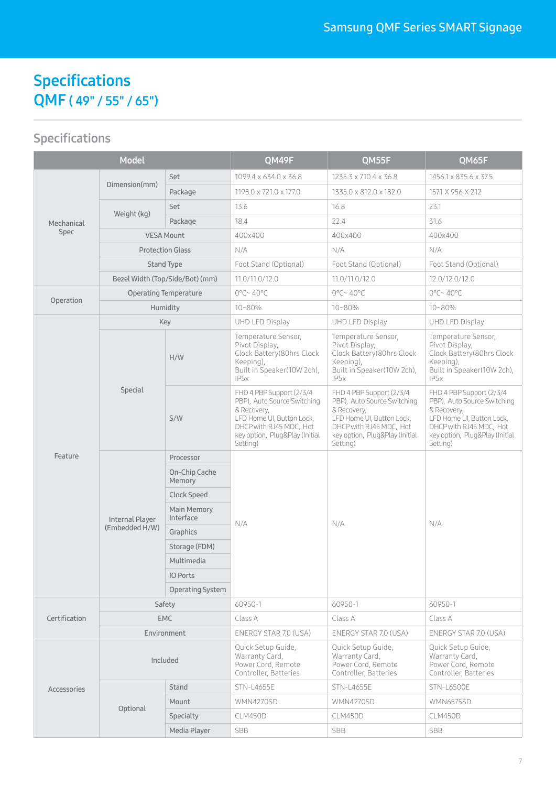# Specifications QMF ( 49" / 55" / 65")

| <b>Model</b>  |                                   | QM49F                           | QM55F                                                                                                                                                                        | QM65F                                                                                                                                                                        |                                                                                                                                                                              |
|---------------|-----------------------------------|---------------------------------|------------------------------------------------------------------------------------------------------------------------------------------------------------------------------|------------------------------------------------------------------------------------------------------------------------------------------------------------------------------|------------------------------------------------------------------------------------------------------------------------------------------------------------------------------|
| Mechanical    |                                   | Set                             | 1099.4 x 634.0 x 36.8                                                                                                                                                        | 1235.3 x 710.4 x 36.8                                                                                                                                                        | 1456.1 x 835.6 x 37.5                                                                                                                                                        |
|               | Dimension(mm)                     | Package                         | 1195.0 x 721.0 x 177.0                                                                                                                                                       | 1335.0 x 812.0 x 182.0                                                                                                                                                       | 1571 X 956 X 212                                                                                                                                                             |
|               |                                   | Set                             | 13.6                                                                                                                                                                         | 16.8                                                                                                                                                                         | 23.1                                                                                                                                                                         |
|               | Weight (kg)                       | Package                         | 18.4                                                                                                                                                                         | 22.4                                                                                                                                                                         | 31.6                                                                                                                                                                         |
| Spec          |                                   | <b>VESA Mount</b>               | 400x400                                                                                                                                                                      | 400x400                                                                                                                                                                      | 400x400                                                                                                                                                                      |
|               | <b>Protection Glass</b>           |                                 | N/A                                                                                                                                                                          | N/A                                                                                                                                                                          | N/A                                                                                                                                                                          |
|               | <b>Stand Type</b>                 |                                 | Foot Stand (Optional)                                                                                                                                                        | Foot Stand (Optional)                                                                                                                                                        | Foot Stand (Optional)                                                                                                                                                        |
|               | Bezel Width (Top/Side/Bot) (mm)   |                                 | 11.0/11.0/12.0                                                                                                                                                               | 11.0/11.0/12.0                                                                                                                                                               | 12.0/12.0/12.0                                                                                                                                                               |
|               | <b>Operating Temperature</b>      |                                 | $0^{\circ}$ C~ 40°C                                                                                                                                                          | $0^{\circ}$ C~ 40°C                                                                                                                                                          | $0^{\circ}$ C~ 40°C                                                                                                                                                          |
| Operation     | Humidity                          |                                 | 10~80%                                                                                                                                                                       | $10 - 80%$                                                                                                                                                                   | 10~80%                                                                                                                                                                       |
|               | Key                               |                                 | <b>UHD LFD Display</b>                                                                                                                                                       | UHD LFD Display                                                                                                                                                              | UHD LFD Display                                                                                                                                                              |
|               | Special                           | H/W                             | Temperature Sensor,<br>Pivot Display,<br>Clock Battery(80hrs Clock<br>Keeping),<br>Built in Speaker(10W 2ch),<br>IP5x                                                        | Temperature Sensor,<br>Pivot Display,<br>Clock Battery (80hrs Clock<br>Keeping),<br>Built in Speaker(10W 2ch),<br>IP <sub>5</sub> x                                          | Temperature Sensor,<br>Pivot Display,<br>Clock Battery(80hrs Clock<br>Keeping),<br>Built in Speaker(10W 2ch),<br>IP5x                                                        |
|               |                                   | S/W                             | FHD 4 PBP Support (2/3/4<br>PBP), Auto Source Switching<br>& Recovery,<br>LFD Home UI, Button Lock,<br>DHCP with RJ45 MDC, Hot<br>key option, Plug&Play (Initial<br>Setting) | FHD 4 PBP Support (2/3/4<br>PBP), Auto Source Switching<br>& Recovery,<br>LFD Home UI, Button Lock,<br>DHCP with RJ45 MDC, Hot<br>key option, Plug&Play (Initial<br>Setting) | FHD 4 PBP Support (2/3/4<br>PBP), Auto Source Switching<br>& Recovery,<br>LFD Home UI, Button Lock,<br>DHCP with RJ45 MDC, Hot<br>key option, Plug&Play (Initial<br>Setting) |
| Feature       | Internal Player<br>(Embedded H/W) | Processor                       |                                                                                                                                                                              | N/A                                                                                                                                                                          | N/A                                                                                                                                                                          |
|               |                                   | On-Chip Cache<br>Memory         |                                                                                                                                                                              |                                                                                                                                                                              |                                                                                                                                                                              |
|               |                                   | Clock Speed                     |                                                                                                                                                                              |                                                                                                                                                                              |                                                                                                                                                                              |
|               |                                   | <b>Main Memory</b><br>Interface |                                                                                                                                                                              |                                                                                                                                                                              |                                                                                                                                                                              |
|               |                                   | Graphics                        | N/A                                                                                                                                                                          |                                                                                                                                                                              |                                                                                                                                                                              |
|               |                                   | Storage (FDM)                   |                                                                                                                                                                              |                                                                                                                                                                              |                                                                                                                                                                              |
|               |                                   | Multimedia                      |                                                                                                                                                                              |                                                                                                                                                                              |                                                                                                                                                                              |
|               |                                   | IO Ports                        |                                                                                                                                                                              |                                                                                                                                                                              |                                                                                                                                                                              |
|               |                                   | <b>Operating System</b>         |                                                                                                                                                                              |                                                                                                                                                                              |                                                                                                                                                                              |
|               | Safety                            |                                 | 60950-1                                                                                                                                                                      | 60950-1                                                                                                                                                                      | 60950-1                                                                                                                                                                      |
| Certification | <b>EMC</b>                        |                                 | Class A                                                                                                                                                                      | Class A                                                                                                                                                                      | Class A                                                                                                                                                                      |
|               | Environment                       |                                 | ENERGY STAR 7.0 (USA)                                                                                                                                                        | ENERGY STAR 7.0 (USA)                                                                                                                                                        | ENERGY STAR 7.0 (USA)                                                                                                                                                        |
| Accessories   | Included                          |                                 | Quick Setup Guide.<br>Warranty Card,<br>Power Cord, Remote<br>Controller, Batteries                                                                                          | Quick Setup Guide,<br>Warranty Card,<br>Power Cord, Remote<br>Controller. Batteries                                                                                          | Quick Setup Guide,<br>Warranty Card,<br>Power Cord, Remote<br>Controller, Batteries                                                                                          |
|               |                                   | Stand                           | <b>STN-L4655E</b>                                                                                                                                                            | <b>STN-L4655E</b>                                                                                                                                                            | <b>STN-L6500E</b>                                                                                                                                                            |
|               | Optional                          | Mount                           | WMN4270SD                                                                                                                                                                    | WMN4270SD                                                                                                                                                                    | <b>WMN6575SD</b>                                                                                                                                                             |
|               |                                   | Specialty                       | CLM450D                                                                                                                                                                      | CLM450D                                                                                                                                                                      | CLM450D                                                                                                                                                                      |
|               |                                   | Media Player                    | <b>SBB</b>                                                                                                                                                                   | SBB                                                                                                                                                                          | <b>SBB</b>                                                                                                                                                                   |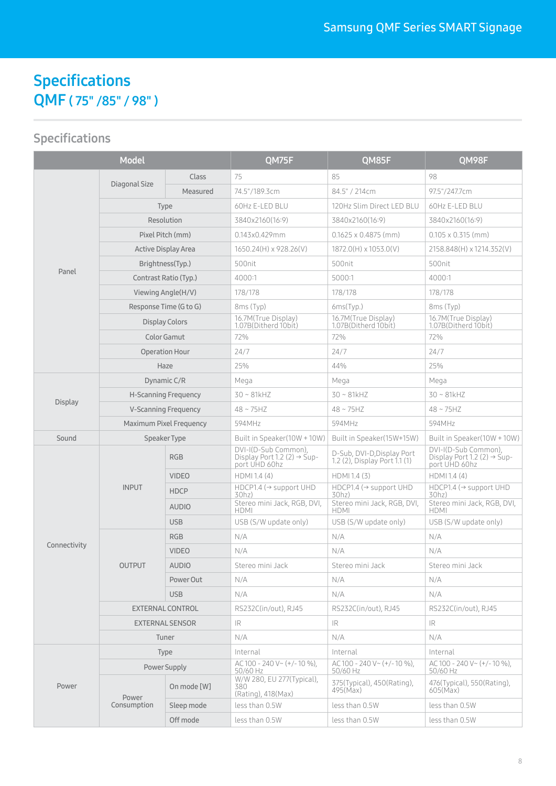# Specifications QMF ( 75" /85" / 98" )

| <b>Model</b>   |                             | QM75F        | QM85F                                                                            | QM98F                                                       |                                                                                  |
|----------------|-----------------------------|--------------|----------------------------------------------------------------------------------|-------------------------------------------------------------|----------------------------------------------------------------------------------|
| Panel          |                             | <b>Class</b> | 75                                                                               | 85                                                          | 98                                                                               |
|                | Diagonal Size               | Measured     | 74.5"/189.3cm                                                                    | 84.5" / 214cm                                               | 97.5"/247.7cm                                                                    |
|                | Type                        |              | 60Hz E-LED BLU                                                                   | 120Hz Slim Direct LED BLU                                   | 60Hz E-LED BLU                                                                   |
|                | Resolution                  |              | 3840x2160(16:9)                                                                  | 3840x2160(16:9)                                             | 3840x2160(16:9)                                                                  |
|                | Pixel Pitch (mm)            |              | 0.143x0.429mm                                                                    | $0.1625 \times 0.4875$ (mm)                                 | $0.105 \times 0.315$ (mm)                                                        |
|                | Active Display Area         |              | 1650.24(H) x 928.26(V)                                                           | 1872.0(H) x 1053.0(V)                                       | 2158.848(H) x 1214.352(V)                                                        |
|                | Brightness(Typ.)            |              | 500nit                                                                           | 500nit                                                      | 500nit                                                                           |
|                | Contrast Ratio (Typ.)       |              | 4000:1                                                                           | 5000:1                                                      | 4000:1                                                                           |
|                | Viewing Angle(H/V)          |              | 178/178                                                                          | 178/178                                                     | 178/178                                                                          |
|                | Response Time (G to G)      |              | 8ms (Typ)                                                                        | 6ms(Typ.)                                                   | 8ms (Typ)                                                                        |
|                | <b>Display Colors</b>       |              | 16.7M(True Display)<br>1.07B(Ditherd 10bit)                                      | 16.7M(True Display)<br>1.07B(Ditherd 10bit)                 | 16.7M(True Display)<br>1.07B(Ditherd 10bit)                                      |
|                | Color Gamut                 |              | 72%                                                                              | 72%                                                         | 72%                                                                              |
|                | <b>Operation Hour</b>       |              | 24/7                                                                             | 24/7                                                        | 24/7                                                                             |
|                | Haze                        |              | 25%                                                                              | 44%                                                         | 25%                                                                              |
|                | Dynamic C/R                 |              | Mega                                                                             | Mega                                                        | Mega                                                                             |
| <b>Display</b> | <b>H-Scanning Frequency</b> |              | $30 - 81$ kHZ                                                                    | $30 - 81$ kHZ                                               | $30 - 81kHz$                                                                     |
|                | <b>V-Scanning Frequency</b> |              | $48 \sim 75HZ$                                                                   | $48 \sim 75$ HZ                                             | $48 \sim 75$ HZ                                                                  |
|                | Maximum Pixel Frequency     |              | 594MHz                                                                           | 594MHz                                                      | 594MHz                                                                           |
| Sound          | Speaker Type                |              | Built in Speaker(10W + 10W)                                                      | Built in Speaker(15W+15W)                                   | Built in Speaker(10W + 10W)                                                      |
|                | <b>INPUT</b>                | <b>RGB</b>   | DVI-I(D-Sub Common),<br>Display Port 1.2 (2) $\rightarrow$ Sup-<br>port UHD 60hz | D-Sub, DVI-D, Display Port<br>1.2 (2), Display Port 1.1 (1) | DVI-I(D-Sub Common),<br>Display Port 1.2 (2) $\rightarrow$ Sup-<br>port UHD 60hz |
|                |                             | <b>VIDEO</b> | HDMI 1.4 (4)                                                                     | HDMI 1.4 (3)                                                | HDMI 1.4 (4)                                                                     |
|                |                             | <b>HDCP</b>  | $HDCP1.4$ ( $\rightarrow$ support UHD<br>30hz)                                   | $HDCP1.4$ ( $\rightarrow$ support UHD<br>30hz)              | $HDCP1.4$ ( $\rightarrow$ support UHD<br>30hz)                                   |
|                |                             | <b>AUDIO</b> | Stereo mini Jack, RGB, DVI,<br>HDMI                                              | Stereo mini Jack, RGB, DVI,<br>HDMI                         | Stereo mini Jack, RGB, DVI,<br>HDMI                                              |
|                |                             | <b>USB</b>   | USB (S/W update only)                                                            | USB (S/W update only)                                       | USB (S/W update only)                                                            |
|                |                             | <b>RGB</b>   | N/A                                                                              | N/A                                                         | N/A                                                                              |
| Connectivity   |                             | <b>VIDEO</b> | N/A                                                                              | N/A                                                         | N/A                                                                              |
|                | <b>OUTPUT</b>               | <b>AUDIO</b> | Stereo mini Jack                                                                 | Stereo mini Jack                                            | Stereo mini Jack                                                                 |
|                |                             | Power Out    | N/A                                                                              | N/A                                                         | N/A                                                                              |
|                |                             | <b>USB</b>   | N/A                                                                              | N/A                                                         | N/A                                                                              |
|                | <b>EXTERNAL CONTROL</b>     |              | RS232C(in/out), RJ45                                                             | RS232C(in/out), RJ45                                        | RS232C(in/out), RJ45                                                             |
|                | <b>EXTERNAL SENSOR</b>      |              | IR                                                                               | IR                                                          | IR                                                                               |
|                | Tuner                       |              | N/A                                                                              | N/A                                                         | N/A                                                                              |
| Power          | Type                        |              | Internal                                                                         | Internal                                                    | Internal                                                                         |
|                | Power Supply                |              | AC 100 - 240 V ~ (+/-10 %).<br>50/60 Hz                                          | AC 100 - 240 V ~ $(+/-10\%)$ .<br>50/60 Hz                  | AC 100 - 240 V ~ (+/-10 %).<br>50/60 Hz                                          |
|                | Power<br>Consumption        | On mode [W]  | W/W 280, EU 277(Typical),<br>380<br>(Rating), 418(Max)                           | 375(Typical), 450(Rating),<br>495(Max)                      | 476(Typical), 550(Rating),<br>605(Max)                                           |
|                |                             | Sleep mode   | less than 0.5W                                                                   | less than 0.5W                                              | less than 0.5W                                                                   |
|                |                             | Off mode     | less than 0.5W                                                                   | less than 0.5W                                              | less than 0.5W                                                                   |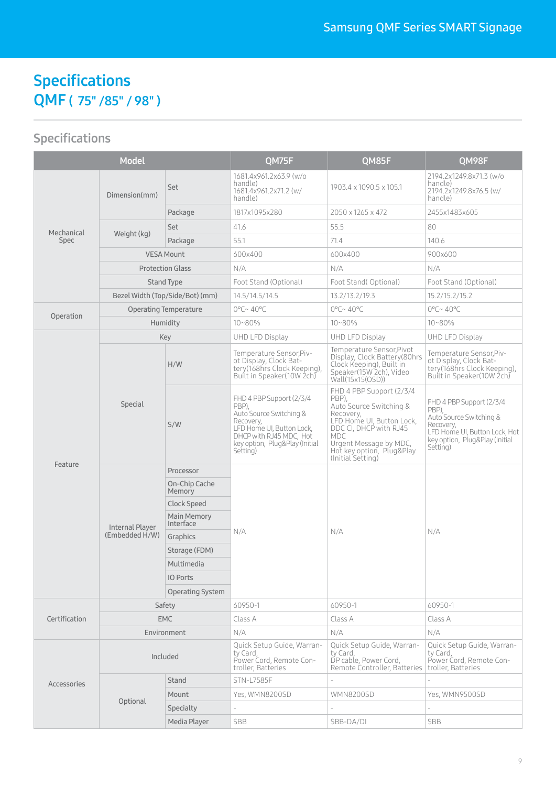# Specifications QMF ( 75" /85" / 98" )

| <b>Model</b>              |                                   |                          | QM75F                                                                                                                                                                           | QM85F                                                                                                                                                                                                                      | QM98F                                                                                                                                                    |
|---------------------------|-----------------------------------|--------------------------|---------------------------------------------------------------------------------------------------------------------------------------------------------------------------------|----------------------------------------------------------------------------------------------------------------------------------------------------------------------------------------------------------------------------|----------------------------------------------------------------------------------------------------------------------------------------------------------|
| Mechanical<br><b>Spec</b> | Dimension(mm)                     | Set                      | 1681.4x961.2x63.9 (w/o<br>handle)<br>1681.4x961.2x71.2 (w/<br>handle)                                                                                                           | 1903.4 x 1090.5 x 105.1                                                                                                                                                                                                    | 2194.2x1249.8x71.3 (w/o<br>handle)<br>2194.2x1249.8x76.5 (w/<br>handle)                                                                                  |
|                           |                                   | Package                  | 1817x1095x280                                                                                                                                                                   | 2050 x 1265 x 472                                                                                                                                                                                                          | 2455x1483x605                                                                                                                                            |
|                           |                                   | Set                      | 41.6                                                                                                                                                                            | 55.5                                                                                                                                                                                                                       | 80                                                                                                                                                       |
|                           | Weight (kg)                       | Package                  | 55.1                                                                                                                                                                            | 71.4                                                                                                                                                                                                                       | 140.6                                                                                                                                                    |
|                           | <b>VESA Mount</b>                 |                          | 600x400                                                                                                                                                                         | 600x400                                                                                                                                                                                                                    | 900x600                                                                                                                                                  |
|                           | <b>Protection Glass</b>           |                          | N/A                                                                                                                                                                             | N/A                                                                                                                                                                                                                        | N/A                                                                                                                                                      |
|                           | Stand Type                        |                          | Foot Stand (Optional)                                                                                                                                                           | Foot Stand(Optional)                                                                                                                                                                                                       | Foot Stand (Optional)                                                                                                                                    |
|                           | Bezel Width (Top/Side/Bot) (mm)   |                          | 14.5/14.5/14.5                                                                                                                                                                  | 13.2/13.2/19.3                                                                                                                                                                                                             | 15.2/15.2/15.2                                                                                                                                           |
|                           | Operating Temperature             |                          | $0^{\circ}$ C~ 40°C                                                                                                                                                             | $0^{\circ}$ C~ 40°C                                                                                                                                                                                                        | $0^{\circ}$ C~ 40°C                                                                                                                                      |
| Operation                 | Humidity                          |                          | $10 - 80%$                                                                                                                                                                      | $10 - 80\%$                                                                                                                                                                                                                | $10 - 80%$                                                                                                                                               |
|                           | Key                               |                          | UHD LFD Display                                                                                                                                                                 | UHD LFD Display                                                                                                                                                                                                            | UHD LFD Display                                                                                                                                          |
|                           | Special                           | H/W                      | Temperature Sensor, Piv-<br>ot Display, Clock Bat-<br>tery(168hrs Clock Keeping),<br>Built in Speaker(10W 2ch)                                                                  | Temperature Sensor, Pivot<br>Display, Clock Battery (80hrs<br>Clock Keeping), Built in<br>Speaker(15W 2ch), Video<br>Wall(15x15(OSD))                                                                                      | Temperature Sensor, Piv-<br>ot Display, Clock Bat-<br>tery(168hrs Clock Keeping),<br>Built in Speaker(10W 2ch)                                           |
|                           |                                   | S/W                      | FHD 4 PBP Support (2/3/4<br>PBP).<br>Auto Source Switching &<br>Recovery,<br>LFD Home UI, Button Lock,<br>DHCP with RJ45 MDC, Hot<br>key option, Plug&Play (Initial<br>Setting) | FHD 4 PBP Support (2/3/4<br>PBP),<br>Auto Source Switching &<br>Recovery,<br>LFD Home UI, Button Lock,<br>DDC CI, DHCP with RJ45<br><b>MDC</b><br>Urgent Message by MDC,<br>Hot key option, Plug&Play<br>(Initial Setting) | FHD 4 PBP Support (2/3/4<br>PBP),<br>Auto Source Switching &<br>Recovery,<br>LFD Home UI, Button Lock, Hot<br>key option, Plug&Play (Initial<br>Setting) |
| Feature                   | Internal Player<br>(Embedded H/W) | Processor                | N/A                                                                                                                                                                             | N/A                                                                                                                                                                                                                        | N/A                                                                                                                                                      |
|                           |                                   | On-Chip Cache<br>Memory  |                                                                                                                                                                                 |                                                                                                                                                                                                                            |                                                                                                                                                          |
|                           |                                   | <b>Clock Speed</b>       |                                                                                                                                                                                 |                                                                                                                                                                                                                            |                                                                                                                                                          |
|                           |                                   | Main Memory<br>Interface |                                                                                                                                                                                 |                                                                                                                                                                                                                            |                                                                                                                                                          |
|                           |                                   | Graphics                 |                                                                                                                                                                                 |                                                                                                                                                                                                                            |                                                                                                                                                          |
|                           |                                   | Storage (FDM)            |                                                                                                                                                                                 |                                                                                                                                                                                                                            |                                                                                                                                                          |
|                           |                                   | Multimedia               |                                                                                                                                                                                 |                                                                                                                                                                                                                            |                                                                                                                                                          |
|                           |                                   | <b>IO Ports</b>          |                                                                                                                                                                                 |                                                                                                                                                                                                                            |                                                                                                                                                          |
|                           |                                   | Operating System         |                                                                                                                                                                                 |                                                                                                                                                                                                                            |                                                                                                                                                          |
| Certification             | Safety                            |                          | 60950-1                                                                                                                                                                         | 60950-1                                                                                                                                                                                                                    | 60950-1                                                                                                                                                  |
|                           | <b>EMC</b>                        |                          | Class A                                                                                                                                                                         | Class A                                                                                                                                                                                                                    | Class A                                                                                                                                                  |
|                           | Environment                       |                          | N/A                                                                                                                                                                             | N/A                                                                                                                                                                                                                        | N/A                                                                                                                                                      |
| Accessories               | Included                          |                          | Quick Setup Guide, Warran-<br>ty Card,<br>Power Cord, Remote Con-<br>troller, Batteries                                                                                         | Quick Setup Guide, Warran-<br>ty Card.<br>DP cable, Power Cord,<br>Remote Controller, Batteries                                                                                                                            | Quick Setup Guide, Warran-<br>ty Card,<br>Power Cord, Remote Con-<br>troller, Batteries                                                                  |
|                           |                                   | Stand                    | <b>STN-L7585F</b>                                                                                                                                                               |                                                                                                                                                                                                                            |                                                                                                                                                          |
|                           | Optional                          | Mount                    | Yes, WMN8200SD                                                                                                                                                                  | <b>WMN8200SD</b>                                                                                                                                                                                                           | Yes, WMN9500SD                                                                                                                                           |
|                           |                                   | Specialty                |                                                                                                                                                                                 |                                                                                                                                                                                                                            |                                                                                                                                                          |
|                           |                                   | Media Player             | SBB                                                                                                                                                                             | SBB-DA/DI                                                                                                                                                                                                                  | <b>SBB</b>                                                                                                                                               |